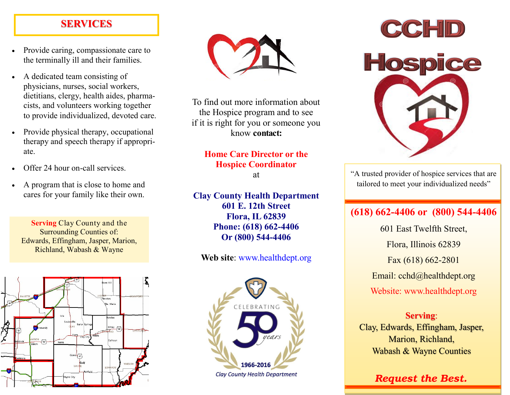# **SERVICES**

- Provide caring, compassionate care to the terminally ill and their families.
- A dedicated team consisting of physicians, nurses, social workers, dietitians, clergy, health aides, pharmacists, and volunteers working together to provide individualized, devoted care.
- Provide physical therapy, occupational therapy and speech therapy if appropriate.
- Offer 24 hour on-call services.
- A program that is close to home and cares for your family like their own.

**Serving** Clay County and the Surrounding Counties of: Edwards, Effingham, Jasper, Marion, Richland, Wabash & Wayne





To find out more information about the Hospice program and to see if it is right for you or someone you know **contact:** 

### **Home Care Director or the Hospice Coordinator**

at

**Clay County Health Department 601 E. 12th Street Flora, IL 62839 Phone: (618) 662-4406 Or (800) 544-4406**

### **Web site**: www.healthdept.org





"A trusted provider of hospice services that are tailored to meet your individualized needs"

# **(618) 662-4406 or (800) 544-4406**

601 East Twelfth Street, Flora, Illinois 62839 Fax (618) 662-2801 Email: cchd@healthdept.org Website: www.healthdept.org

### **Serving**:

Clay, Edwards, Effingham, Jasper, Marion, Richland, Wabash & Wayne Counties

# *Request the Best.*

ī